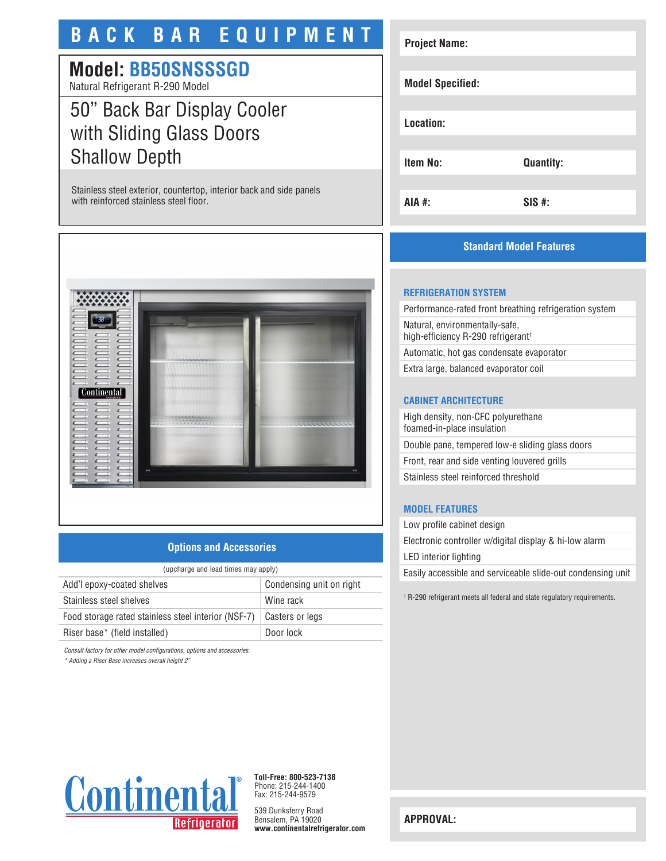# **BACK BAR EQUIPMENT**

# **Model: BB50SNSSSGD**

Natural Refrigerant R-290 Model

# 50" Back Bar Display Cooler with Sliding Glass Doors Shallow Depth

Stainless steel exterior, countertop, interior back and side panels with reinforced stainless steel floor.



## **Options and Accessories**

| (upcharge and lead times may apply)                 |                          |
|-----------------------------------------------------|--------------------------|
| Add'l epoxy-coated shelves                          | Condensing unit on right |
| Stainless steel shelves                             | Wine rack                |
| Food storage rated stainless steel interior (NSF-7) | Casters or legs          |
| Riser base* (field installed)                       | Door lock                |

*Consult factory for other model configurations, options and accessories.*

*\* Adding a Riser Base increases overall height 2"*

# **Project Name: Model Specified: Location: Item No: Quantity: AIA #: SIS #:**

## **Standard Model Features**

## **REFRIGERATION SYSTEM**

Performance-rated front breathing refrigeration system Natural, environmentally-safe, high-efficiency R-290 refrigerant<sup>1</sup> Automatic, hot gas condensate evaporator

Extra large, balanced evaporator coil

#### **CABINET ARCHITECTURE**

High density, non-CFC polyurethane foamed-in-place insulation Double pane, tempered low-e sliding glass doors Front, rear and side venting louvered grills Stainless steel reinforced threshold

### **MODEL FEATURES**

Low profile cabinet design Electronic controller w/digital display & hi-low alarm LED interior lighting Easily accessible and serviceable slide-out condensing unit

1 R-290 refrigerant meets all federal and state regulatory requirements.



**Toll-Free: 800-523-7138** Phone: 215-244-1400 Fax: 215-244-9579

539 Dunksferry Road Bensalem, PA 19020 **www.continentalrefrigerator.com** 

**APPROVAL:**